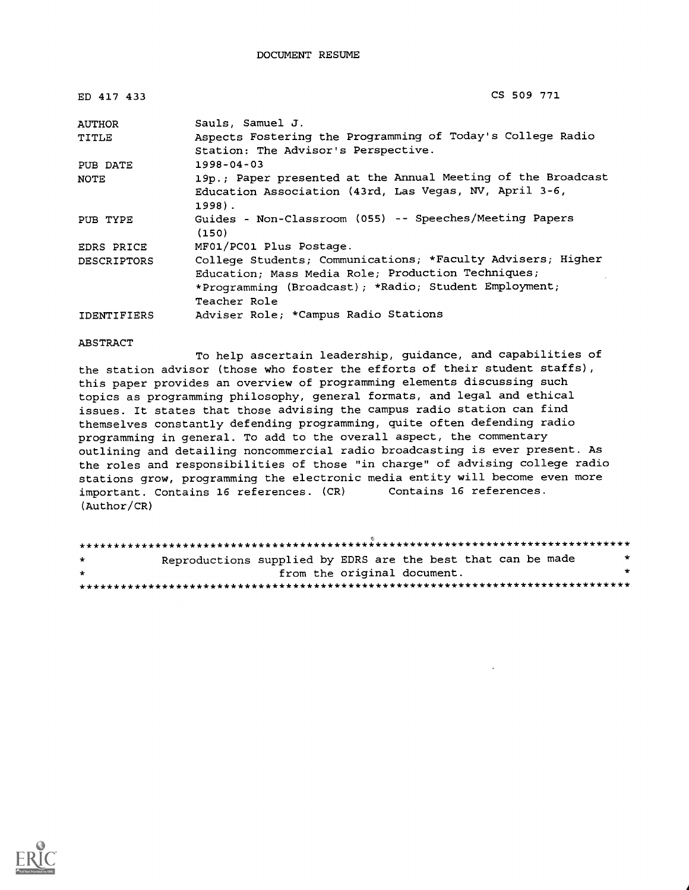| ED 417 433         | CS 509 771                                                                                                                                                                                 |  |  |
|--------------------|--------------------------------------------------------------------------------------------------------------------------------------------------------------------------------------------|--|--|
| <b>AUTHOR</b>      | Sauls, Samuel J.                                                                                                                                                                           |  |  |
| TITLE              | Aspects Fostering the Programming of Today's College Radio<br>Station: The Advisor's Perspective.                                                                                          |  |  |
| PUB DATE           | $1998 - 04 - 03$                                                                                                                                                                           |  |  |
| NOTE               | 19p.; Paper presented at the Annual Meeting of the Broadcast<br>Education Association (43rd, Las Vegas, NV, April 3-6,<br>1998).                                                           |  |  |
| PUB TYPE           | Guides - Non-Classroom (055) -- Speeches/Meeting Papers<br>(150)                                                                                                                           |  |  |
| EDRS PRICE         | MF01/PC01 Plus Postage.                                                                                                                                                                    |  |  |
| DESCRIPTORS        | College Students; Communications; *Faculty Advisers; Higher<br>Education; Mass Media Role; Production Techniques;<br>*Programming (Broadcast); *Radio; Student Employment;<br>Teacher Role |  |  |
| <b>IDENTIFIERS</b> | Adviser Role; *Campus Radio Stations                                                                                                                                                       |  |  |

#### ABSTRACT

To help ascertain leadership, guidance, and capabilities of the station advisor (those who foster the efforts of their student staffs), this paper provides an overview of programming elements discussing such topics as programming philosophy, general formats, and legal and ethical issues. It states that those advising the campus radio station can find themselves constantly defending programming, quite often defending radio programming in general. To add to the overall aspect, the commentary outlining and detailing noncommercial radio broadcasting is ever present. As the roles and responsibilities of those "in charge" of advising college radio stations grow, programming the electronic media entity will become even more important. Contains 16 references. (CR) Contains 16 references. (Author/CR)

| $\star$ | Reproductions supplied by EDRS are the best that can be made<br>* |  |  |  |  |
|---------|-------------------------------------------------------------------|--|--|--|--|
| $\star$ | from the original document.<br>÷                                  |  |  |  |  |
|         |                                                                   |  |  |  |  |

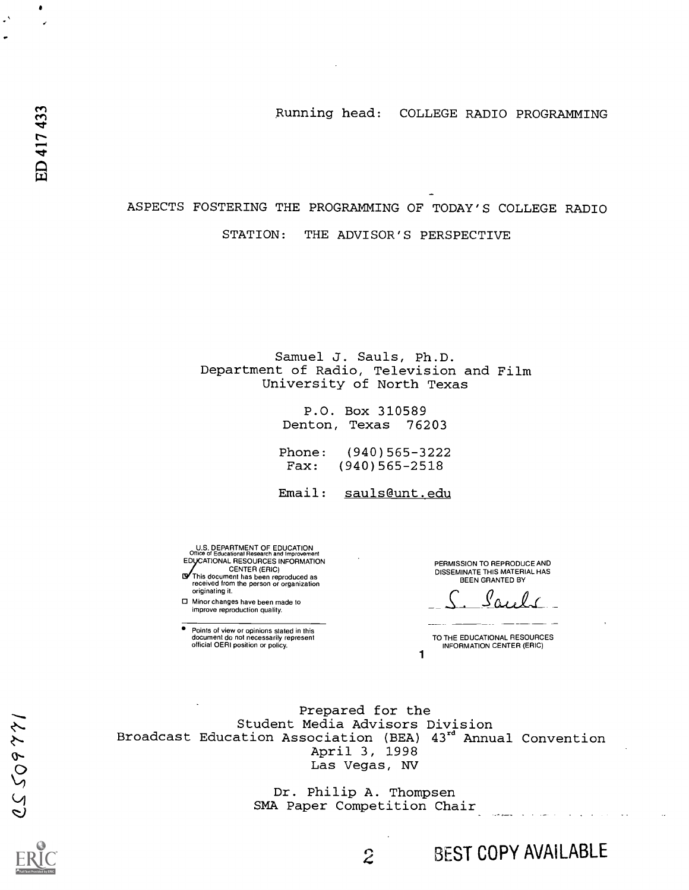Running head: COLLEGE RADIO PROGRAMMING

ASPECTS FOSTERING THE PROGRAMMING OF TODAY'S COLLEGE RADIO STATION: THE ADVISOR'S PERSPECTIVE

> Samuel J. Sauls, Ph.D. Department of Radio, Television and Film University of North Texas

> > P.O. Box 310589 Denton, Texas 76203

Phone: (940)565-3222 Fax: (940)565-2518

Email: sauls@unt.edu

U.S. DEPARTMENT OF EDUCATION<br>Office of Educational Research and Improvement<br>EDUCATIONAL RESOURCES INFORMATION CENTER (ERIC) This document has been reproduced as received from the person or organization

originating it. Minor changes have been made to

improve reproduction quality.

Points of view or opinions stated in this document do not necessarily represent official OERI position or policy.

PERMISSION TO REPRODUCE AND DISSEMINATE THIS MATERIAL HAS BEEN GRANTED BY

S. Sauls

TO THE EDUCATIONAL RESOURCES INFORMATION CENTER (ERIC)

BEST COPY AVAILABLE

 $\sim$  .

1

Prepared for the Student Media Advisors Division Broadcast Education Association (BEA)  $43^{\mathtt{ra}}$  Annual Convention April 3, 1998 Las Vegas, NV

> Dr. Philip A. Thompsen SMA Paper Competition Chair

> > $\hat{z}$

 $\bullet$ 

 $\cdot$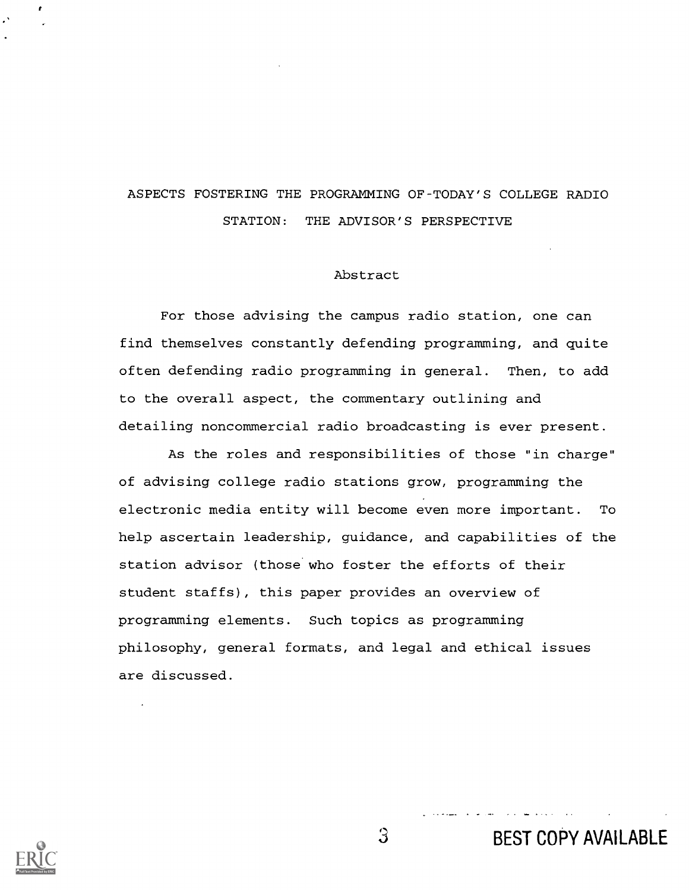# ASPECTS FOSTERING THE PROGRAMMING OF-TODAY'S COLLEGE RADIO STATION: THE ADVISOR'S PERSPECTIVE

## Abstract

For those advising the campus radio station, one can find themselves constantly defending programming, and quite often defending radio programming in general. Then, to add to the overall aspect, the commentary outlining and detailing noncommercial radio broadcasting is ever present.

As the roles and responsibilities of those "in charge" of advising college radio stations grow, programming the electronic media entity will become even more important. To help ascertain leadership, guidance, and capabilities of the station advisor (those who foster the efforts of their student staffs), this paper provides an overview of programming elements. Such topics as programming philosophy, general formats, and legal and ethical issues are discussed.



3 BEST COPY AVAILABLE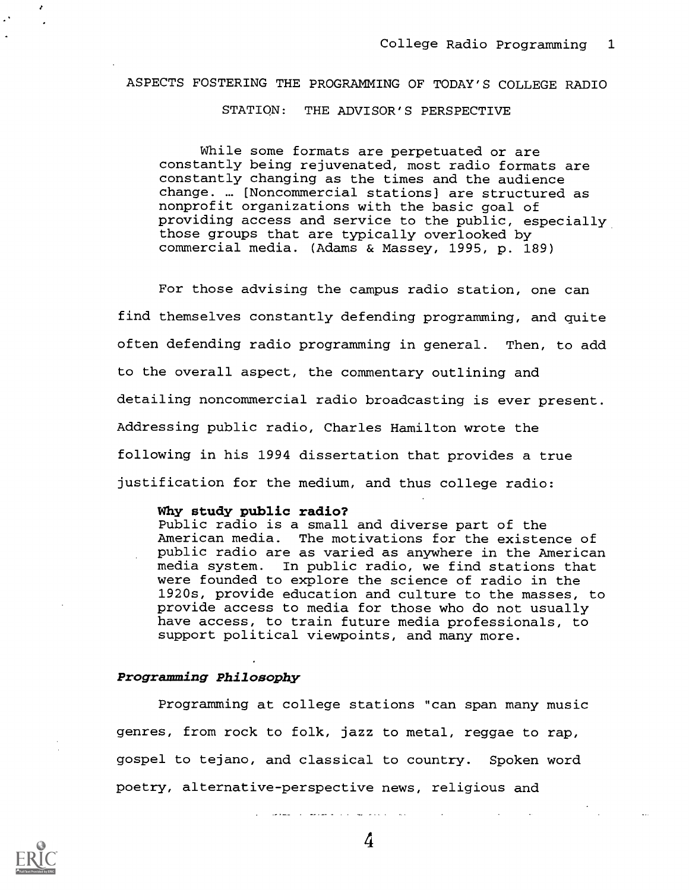# ASPECTS FOSTERING THE PROGRAMMING OF TODAY'S COLLEGE RADIO

STATION: THE ADVISOR'S PERSPECTIVE

While some formats are perpetuated or are constantly being rejuvenated, most radio formats are constantly changing as the times and the audience change. ... [Noncommercial stations] are structured as nonprofit organizations with the basic goal of providing access and service to the public, especially those groups that are typically overlooked by commercial media. (Adams & Massey, 1995, p. 189)

For those advising the campus radio station, one can find themselves constantly defending programming, and quite often defending radio programming in general. Then, to add to the overall aspect, the commentary outlining and detailing noncommercial radio broadcasting is ever present. Addressing public radio, Charles Hamilton wrote the following in his 1994 dissertation that provides a true justification for the medium, and thus college radio:

#### Why study public radio?

Public radio is a small and diverse part of the American media. The motivations for the existence of public radio are as varied as anywhere in the American media system. In public radio, we find stations that were founded to explore the science of radio in the 1920s, provide education and culture to the masses, to provide access to media for those who do not usually have access, to train future media professionals, to support political viewpoints, and many more.

#### Programming Philosophy

Programming at college stations "can span many music genres, from rock to folk, jazz to metal, reggae to rap, gospel to tejano, and classical to country. Spoken word poetry, alternative-perspective news, religious and

أنادي المستعمل المتحدث والمتعلم والمستعمل والمستعمل والمنافع

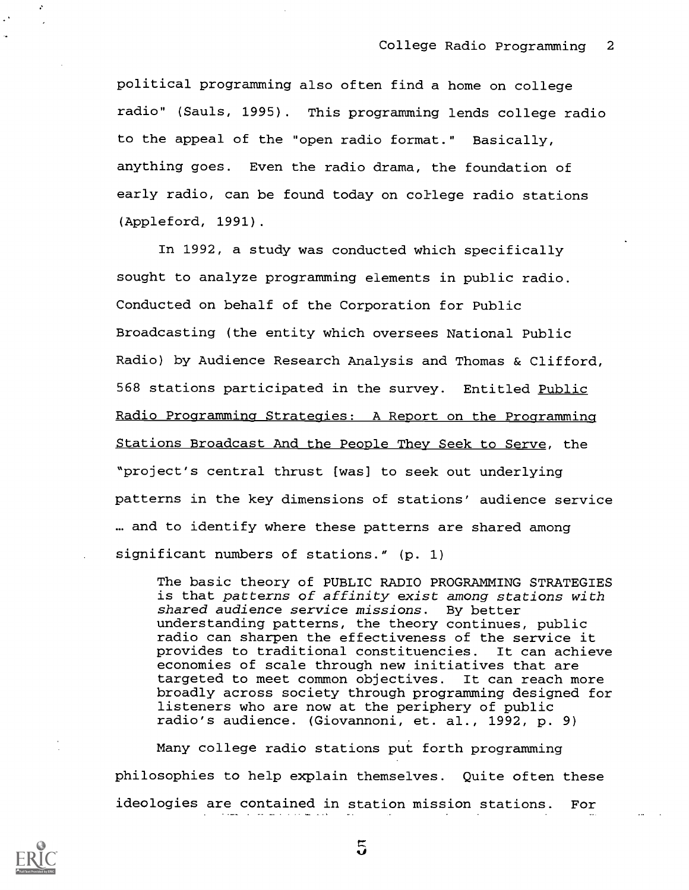political programming also often find a home on college radio" (Sauls, 1995). This programming lends college radio to the appeal of the "open radio format." Basically, anything goes. Even the radio drama, the foundation of early radio, can be found today on college radio stations (Appleford, 1991).

In 1992, a study was conducted which specifically sought to analyze programming elements in public radio. Conducted on behalf of the Corporation for Public Broadcasting (the entity which oversees National Public Radio) by Audience Research Analysis and Thomas & Clifford, 568 stations participated in the survey. Entitled Public Radio Programming Strategies: A Report on the Programming Stations Broadcast And the People They Seek to Serve, the "project's central thrust [was] to seek out underlying patterns in the key dimensions of stations' audience service ... and to identify where these patterns are shared among significant numbers of stations." (p. 1)

The basic theory of PUBLIC RADIO PROGRAMMING STRATEGIES is that patterns of affinity exist among stations with shared audience service missions. By better understanding patterns, the theory continues, public radio can sharpen the effectiveness of the service it provides to traditional constituencies. It can achieve economies of scale through new initiatives that are targeted to meet common objectives. It can reach more broadly across society through programming designed for listeners who are now at the periphery of public radio's audience. (Giovannoni, et. al., 1992, p. 9)

Many college radio stations put forth programming philosophies to help explain themselves. Quite often these ideologies are contained in station mission stations. For

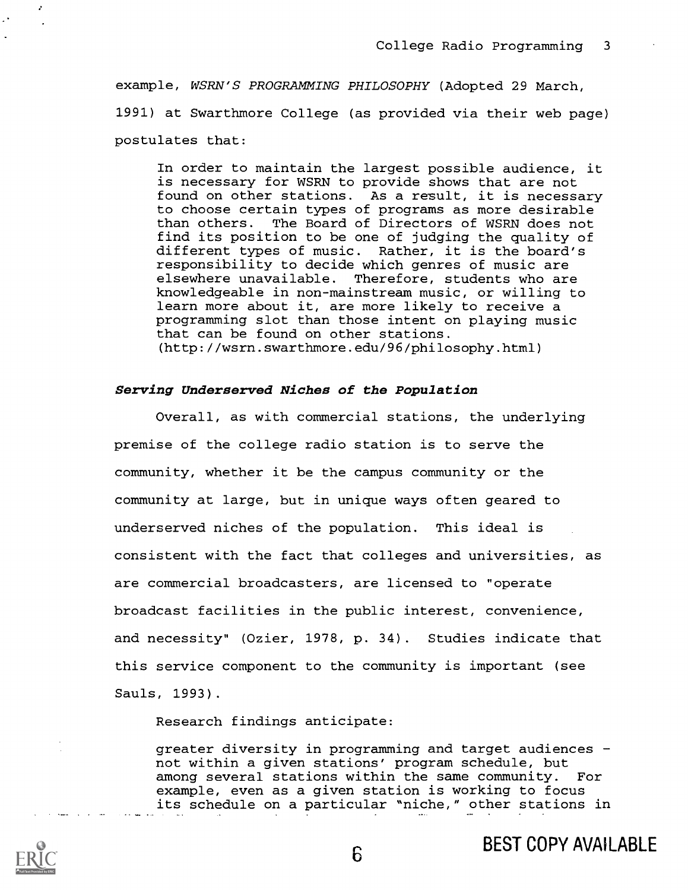example, WSRN'S PROGRAMMING PHILOSOPHY (Adopted 29 March, 1991) at Swarthmore College (as provided via their web page) postulates that:

In order to maintain the largest possible audience, it is necessary for WSRN to provide shows that are not found on other stations. As a result, it is necessary to choose certain types of programs as more desirable than others. The Board of Directors of WSRN does not find its position to be one of judging the quality of different types of music. Rather, it is the board's responsibility to decide which genres of music are elsewhere unavailable. Therefore, students who are knowledgeable in non-mainstream music, or willing to learn more about it, are more likely to receive a programming slot than those intent on playing music that can be found on other stations. (http://wsrn.swarthmore.edu/96/philosophy.html)

## Serving Underserved Niches of the Population

2

Overall, as with commercial stations, the underlying premise of the college radio station is to serve the community, whether it be the campus community or the community at large, but in unique ways often geared to underserved niches of the population. This ideal is consistent with the fact that colleges and universities, as are commercial broadcasters, are licensed to "operate broadcast facilities in the public interest, convenience, and necessity" (Ozier, 1978, p. 34). Studies indicate that this service component to the community is important (see Sauls, 1993).

Research findings anticipate:

greater diversity in programming and target audiences not within a given stations' program schedule, but among several stations within the same community. For example, even as a given station is working to focus its schedule on a particular "niche," other stations in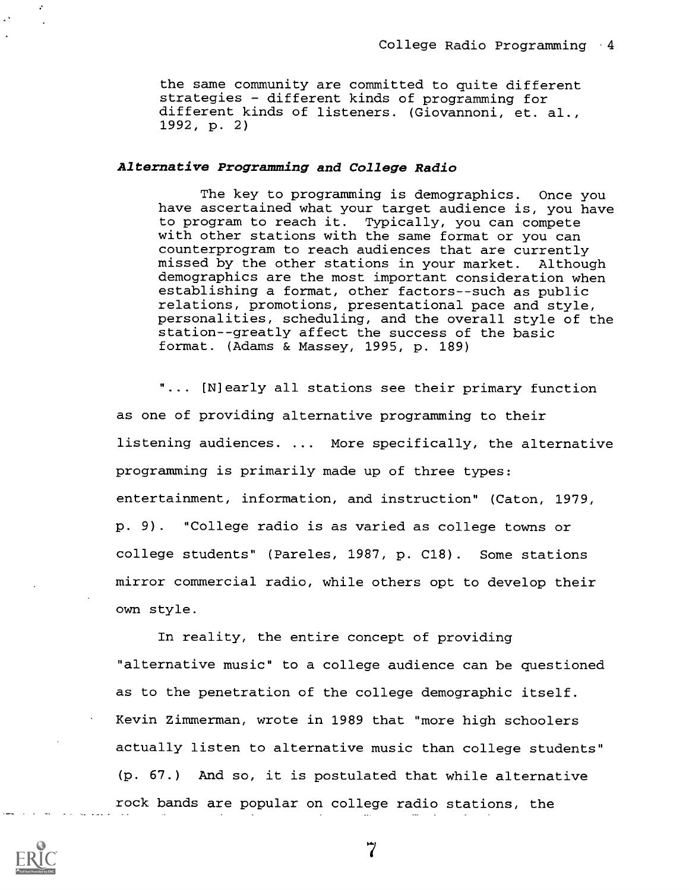the same community are committed to quite different strategies - different kinds of programming for different kinds of listeners. (Giovannoni, et. al., 1992, p. 2)

## Alternative Programming and College Radio

The key to programming is demographics. Once you have ascertained what your target audience is, you have to program to reach it. Typically, you can compete with other stations with the same format or you can counterprogram to reach audiences that are currently missed by the other stations in your market. Although demographics are the most important consideration when establishing a format, other factors--such as public relations, promotions, presentational pace and style, personalities, scheduling, and the overall style of the station--greatly affect the success of the basic format. (Adams & Massey, 1995, p. 189)

"... [N]early all stations see their primary function as one of providing alternative programming to their listening audiences. . . More specifically, the alternative programming is primarily made up of three types: entertainment, information, and instruction" (Caton, 1979, p. 9). "College radio is as varied as college towns or college students" (Pareles, 1987, p. C18). Some stations mirror commercial radio, while others opt to develop their own style.

In reality, the entire concept of providing "alternative music" to a college audience can be questioned as to the penetration of the college demographic itself. Kevin Zimmerman, wrote in 1989 that "more high schoolers actually listen to alternative music than college students" (p. 67.) And so, it is postulated that while alternative rock bands are popular on college radio stations, the



÷

 $\overline{7}$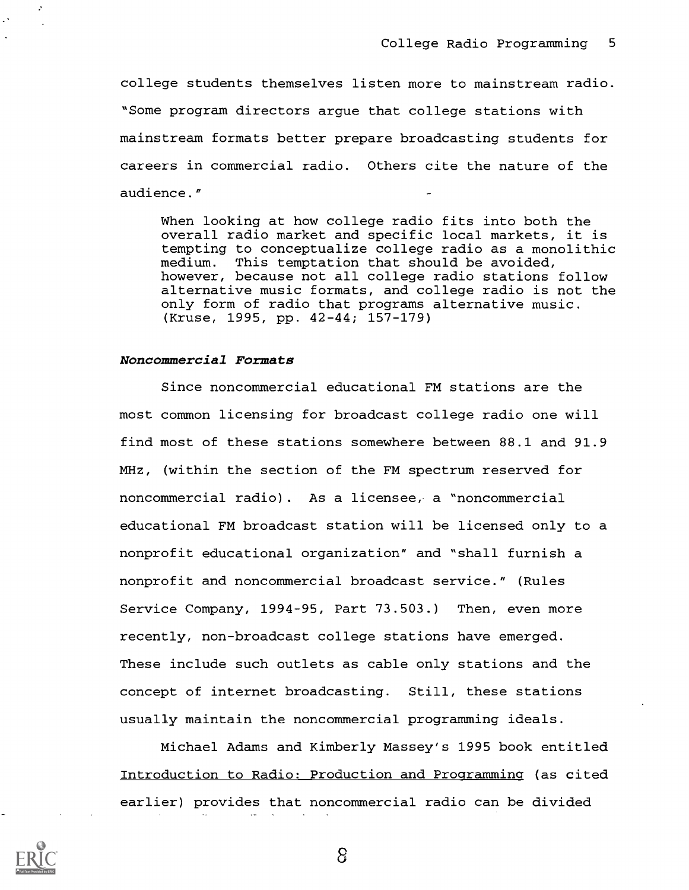college students themselves listen more to mainstream radio. "Some program directors argue that college stations with mainstream formats better prepare broadcasting students for careers in commercial radio. Others cite the nature of the audience."

When looking at how college radio fits into both the overall radio market and specific local markets, it is tempting to conceptualize college radio as a monolithic medium. This temptation that should be avoided, however, because not all college radio stations follow alternative music formats, and college radio is not the only form of radio that programs alternative music. (Kruse, 1995, pp. 42-44; 157-179)

#### Noncommercial Formats

Since noncommercial educational FM stations are the most common licensing for broadcast college radio one will find most of these stations somewhere between 88.1 and 91.9 MHz, (within the section of the FM spectrum reserved for noncommercial radio). As a licensee, a "noncommercial educational FM broadcast station will be licensed only to a nonprofit educational organization" and "shall furnish a nonprofit and noncommercial broadcast service." (Rules Service Company, 1994-95, Part 73.503.) Then, even more recently, non-broadcast college stations have emerged. These include such outlets as cable only stations and the concept of internet broadcasting. Still, these stations usually maintain the noncommercial programming ideals.

Michael Adams and Kimberly Massey's 1995 book entitled Introduction to Radio: Production and Programming (as cited earlier) provides that noncommercial radio can be divided



÷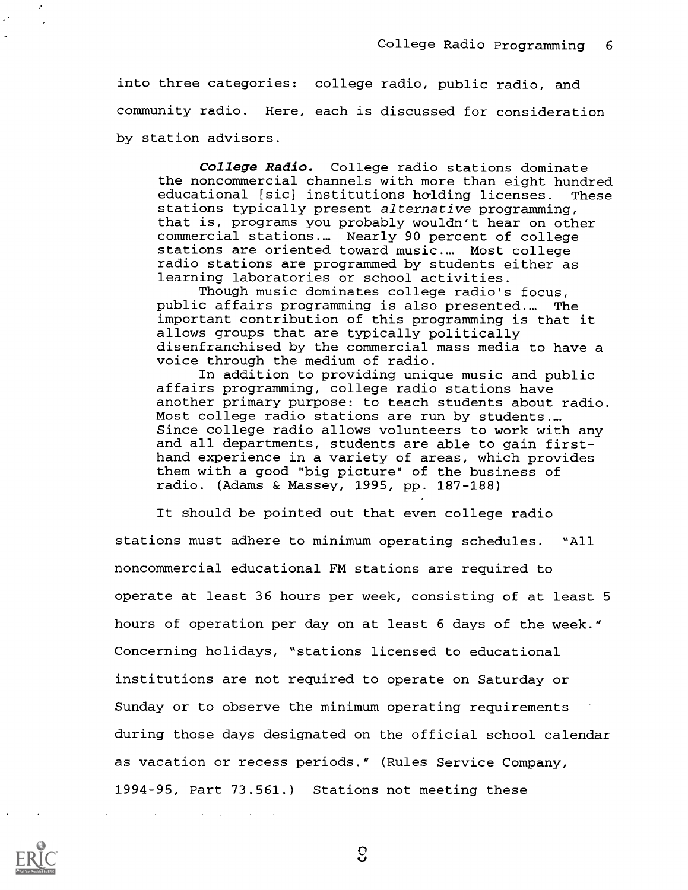into three categories: college radio, public radio, and community radio. Here, each is discussed for consideration by station advisors.

College Radio. College radio stations dominate the noncommercial channels with more than eight hundred educational [sic] institutions holding licenses. These stations typically present alternative programming, that is, programs you probably wouldn't hear on other commercial stations.... Nearly 90 percent of college stations are oriented toward music.... Most college radio stations are programmed by students either as learning laboratories or school activities.

Though music dominates college radio's focus, public affairs programming is also presented.... The important contribution of this programming is that it allows groups that are typically politically disenfranchised by the commercial mass media to have a voice through the medium of radio.

In addition to providing unique music and public affairs programming, college radio stations have another primary purpose: to teach students about radio. Most college radio stations are run by students.... Since college radio allows volunteers to work with any and all departments, students are able to gain firsthand experience in a variety of areas, which provides them with a good "big picture" of the business of radio. (Adams & Massey, 1995, pp. 187-188)

It should be pointed out that even college radio stations must adhere to minimum operating schedules. "All noncommercial educational FM stations are required to operate at least 36 hours per week, consisting of at least 5 hours of operation per day on at least 6 days of the week." Concerning holidays, "stations licensed to educational institutions are not required to operate on Saturday or Sunday or to observe the minimum operating requirements during those days designated on the official school calendar as vacation or recess periods." (Rules Service Company, 1994-95, Part 73.561.) Stations not meeting these



÷

 $\mathbf{c}$ 

 $\omega_{\rm{max}}=1$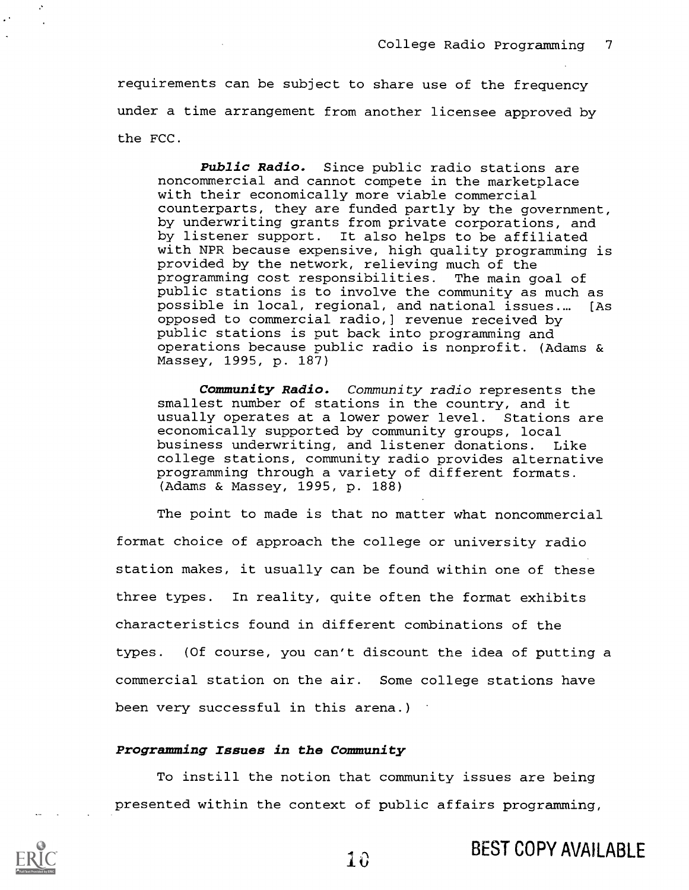requirements can be subject to share use of the frequency under a time arrangement from another licensee approved by the FCC.

Public Radio. Since public radio stations are noncommercial and cannot compete in the marketplace with their economically more viable commercial counterparts, they are funded partly by the government, by underwriting grants from private corporations, and by listener support. It also helps to be affiliated with NPR because expensive, high quality programming is provided by the network, relieving much of the programming cost responsibilities. The main goal of public stations is to involve the community as much as possible in local, regional, and national issues.... [As opposed to commercial radio,] revenue received by public stations is put back into programming and operations because public radio is nonprofit. (Adams & Massey, 1995, p. 187)

Community Radio. Community radio represents the smallest number of stations in the country, and it usually operates at a lower power level. Stations are economically supported by community groups, local business underwriting, and listener donations. Like college stations, community radio provides alternative programming through a variety of different formats. (Adams & Massey, 1995, p. 188)

The point to made is that no matter what noncommercial format choice of approach the college or university radio station makes, it usually can be found within one of these three types. In reality, quite often the format exhibits characteristics found in different combinations of the types. (Of course, you can't discount the idea of putting a commercial station on the air. Some college stations have been very successful in this arena.)

## Programming Issues in the Community

To instill the notion that community issues are being presented within the context of public affairs programming,



 $\mathcal{C}$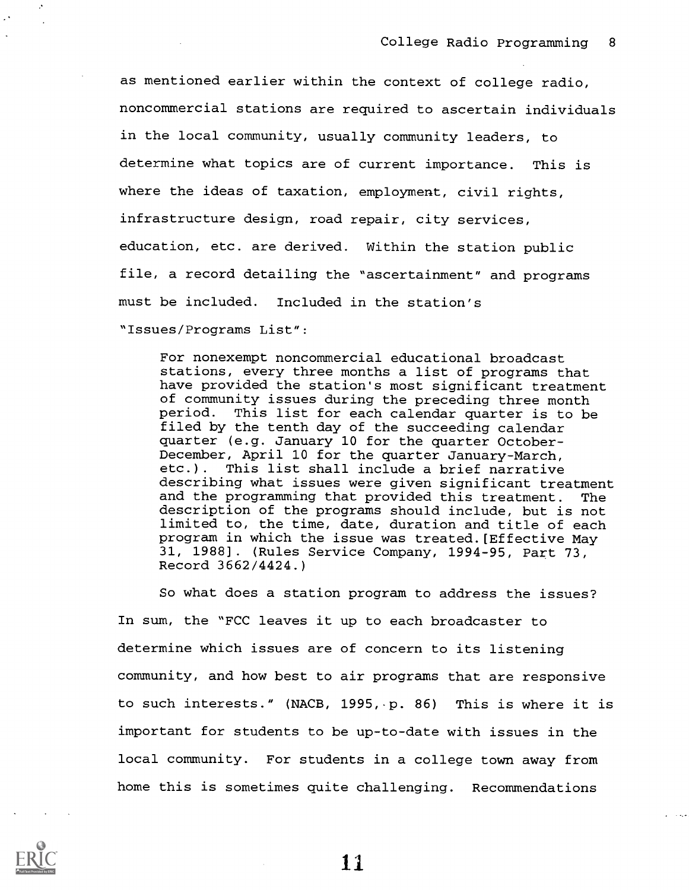$\sim 100$  km s  $^{-1}$ 

as mentioned earlier within the context of college radio, noncommercial stations are required to ascertain individuals in the local community, usually community leaders, to determine what topics are of current importance. This is where the ideas of taxation, employment, civil rights, infrastructure design, road repair, city services, education, etc. are derived. Within the station public file, a record detailing the "ascertainment" and programs must be included. Included in the station's "Issues/Programs List":

For nonexempt noncommercial educational broadcast stations, every three months a list of programs that have provided the station's most significant treatment of community issues during the preceding three month period. This list for each calendar quarter is to be filed by the tenth day of the succeeding calendar quarter (e.g. January 10 for the quarter October-December, April 10 for the quarter January-March, etc.). This list shall include a brief narrative describing what issues were given significant treatment and the programming that provided this treatment. The description of the programs should include, but is not limited to, the time, date, duration and title of each program in which the issue was treated.[Effective May 31, 1988]. (Rules Service Company, 1994-95, Part 73, Record 3662/4424.)

So what does a station program to address the issues? In sum, the "FCC leaves it up to each broadcaster to determine which issues are of concern to its listening community, and how best to air programs that are responsive to such interests." (NACB, 1995, p. 86) This is where it is important for students to be up-to-date with issues in the local community. For students in a college town away from home this is sometimes quite challenging. Recommendations

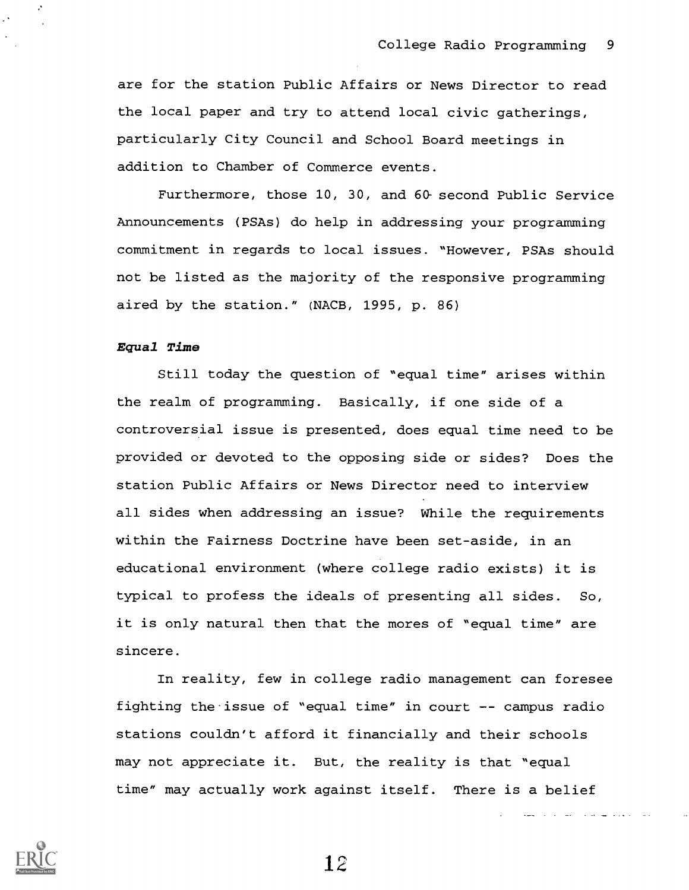are for the station Public Affairs or News Director to read the local paper and try to attend local civic gatherings, particularly City Council and School Board meetings in addition to Chamber of Commerce events.

Furthermore, those 10, 30, and 60- second Public Service Announcements (PSAs) do help in addressing your programming commitment in regards to local issues. "However, PSAs should not be listed as the majority of the responsive programming aired by the station." (NACB, 1995, p. 86)

### Equal Time

Still today the question of "equal time" arises within the realm of programming. Basically, if one side of a controversial issue is presented, does equal time need to be provided or devoted to the opposing side or sides? Does the station Public Affairs or News Director need to interview all sides when addressing an issue? While the requirements within the Fairness Doctrine have been set-aside, in an educational environment (where college radio exists) it is typical to profess the ideals of presenting all sides. So, it is only natural then that the mores of "equal time" are sincere.

In reality, few in college radio management can foresee fighting the issue of "equal time" in court  $-$ - campus radio stations couldn't afford it financially and their schools may not appreciate it. But, the reality is that "equal time" may actually work against itself. There is a belief

المتعارف المتحدث والمهار معارضا

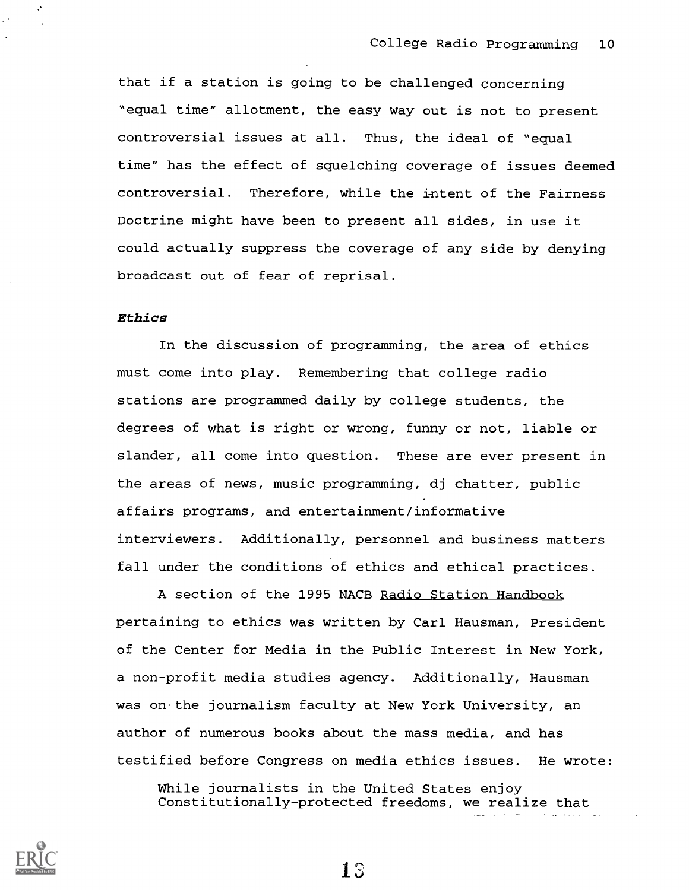that if a station is going to be challenged concerning "equal time" allotment, the easy way out is not to present controversial issues at all. Thus, the ideal of "equal time" has the effect of squelching coverage of issues deemed controversial. Therefore, while the intent of the Fairness Doctrine might have been to present all sides, in use it could actually suppress the coverage of any side by denying broadcast out of fear of reprisal.

### Ethics

 $\cdot$ 

In the discussion of programming, the area of ethics must come into play. Remembering that college radio stations are programmed daily by college students, the degrees of what is right or wrong, funny or not, liable or slander, all come into question. These are ever present in the areas of news, music programming, dj chatter, public affairs programs, and entertainment/informative interviewers. Additionally, personnel and business matters fall under the conditions of ethics and ethical practices.

A section of the 1995 NACB Radio Station Handbook pertaining to ethics was written by Carl Hausman, President of the Center for Media in the Public Interest in New York, a non-profit media studies agency. Additionally, Hausman was on the journalism faculty at New York University, an author of numerous books about the mass media, and has testified before Congress on media ethics issues. He wrote:

While journalists in the United States enjoy Constitutionally-protected freedoms, we realize that

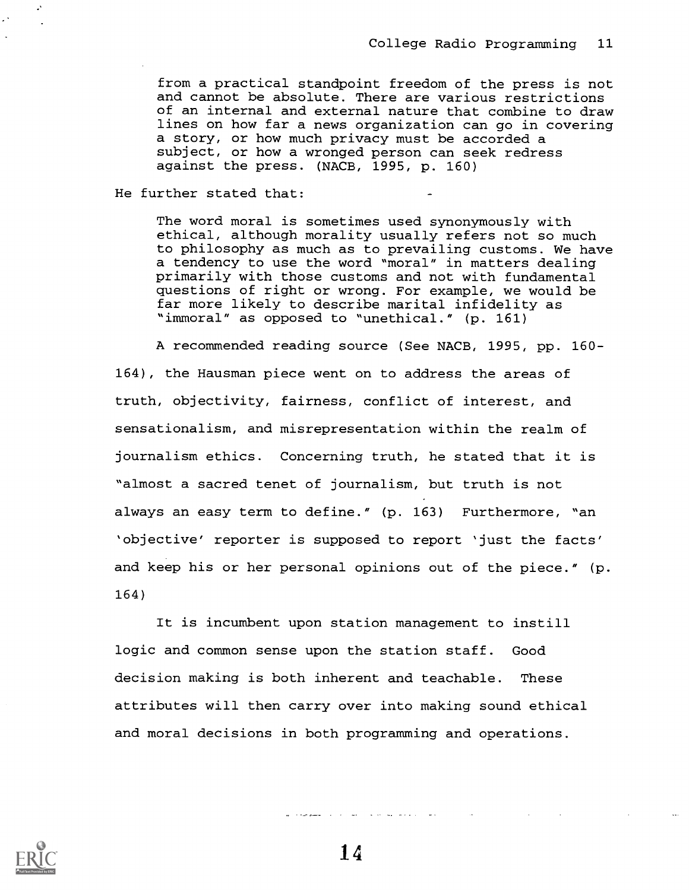from a practical standpoint freedom of the press is not and cannot be absolute. There are various restrictions of an internal and external nature that combine to draw lines on how far a news organization can go in covering a story, or how much privacy must be accorded a subject, or how a wronged person can seek redress against the press. (NACB, 1995, p. 160)

He further stated that:

The word moral is sometimes used synonymously with ethical, although morality usually refers not so much to philosophy as much as to prevailing customs. We have a tendency to use the word "moral" in matters dealing primarily with those customs and not with fundamental questions of right or wrong. For example, we would be far more likely to describe marital infidelity as "immoral" as opposed to "unethical." (p. 161)

A recommended reading source (See NACB, 1995, pp. 160- 164), the Hausman piece went on to address the areas of truth, objectivity, fairness, conflict of interest, and sensationalism, and misrepresentation within the realm of journalism ethics. Concerning truth, he stated that it is "almost a sacred tenet of journalism, but truth is not always an easy term to define." (p. 163) Furthermore, "an `objective' reporter is supposed to report 'just the facts' and keep his or her personal opinions out of the piece." (p. 164)

It is incumbent upon station management to instill logic and common sense upon the station staff. Good decision making is both inherent and teachable. These attributes will then carry over into making sound ethical and moral decisions in both programming and operations.



 $\mathcal{L}^{\mathcal{A}}$ 

14

المتقاد المتمالية المتاعين المقادمات المسترحية والبوا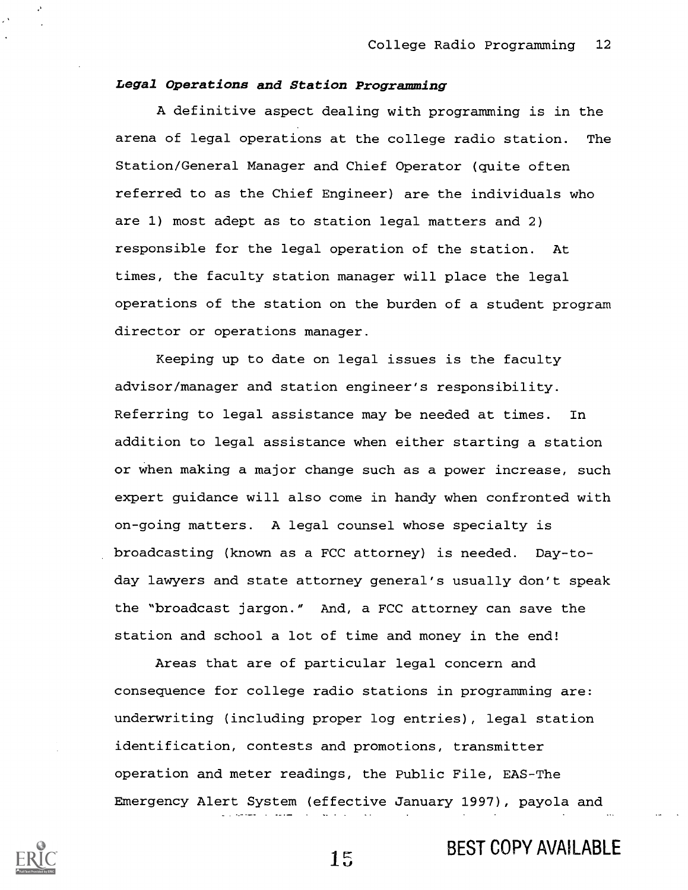## Legal Operations and Station Programming

A definitive aspect dealing with programming is in the arena of legal operations at the college radio station. The Station/General Manager and Chief Operator (quite often referred to as the Chief Engineer) are the individuals who are 1) most adept as to station legal matters and 2) responsible for the legal operation of the station. At times, the faculty station manager will place the legal operations of the station on the burden of a student program director or operations manager.

Keeping up to date on legal issues is the faculty advisor/manager and station engineer's responsibility. Referring to legal assistance may be needed at times. In addition to legal assistance when either starting a station or when making a major change such as a power increase, such expert guidance will also come in handy when confronted with on-going matters. A legal counsel whose specialty is broadcasting (known as a FCC attorney) is needed. Day-today lawyers and state attorney general's usually don't speak the "broadcast jargon." And, a FCC attorney can save the station and school a lot of time and money in the end!

Areas that are of particular legal concern and consequence for college radio stations in programming are: underwriting (including proper log entries), legal station identification, contests and promotions, transmitter operation and meter readings, the Public File, EAS-The Emergency Alert System (effective January 1997), payola and



1r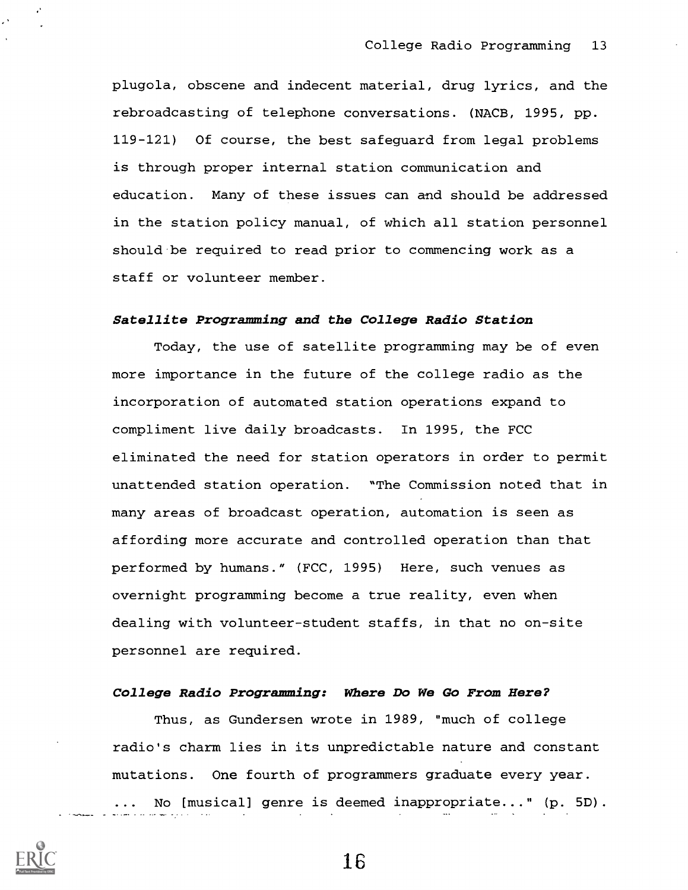plugola, obscene and indecent material, drug lyrics, and the rebroadcasting of telephone conversations. (NACB, 1995, pp. 119-121) Of course, the best safeguard from legal problems is through proper internal station communication and education. Many of these issues can and should be addressed in the station policy manual, of which all station personnel should be required to read prior to commencing work as a staff or volunteer member.

#### Satellite Programming and the College Radio Station

Today, the use of satellite programming may be of even more importance in the future of the college radio as the incorporation of automated station operations expand to compliment live daily broadcasts. In 1995, the FCC eliminated the need for station operators in order to permit unattended station operation. "The Commission noted that in many areas of broadcast operation, automation is seen as affording more accurate and controlled operation than that performed by humans." (FCC, 1995) Here, such venues as overnight programming become a true reality, even when dealing with volunteer-student staffs, in that no on-site personnel are required.

## College Radio Programming: Where Do We Go From Here?

Thus, as Gundersen wrote in 1989, "much of college radio's charm lies in its unpredictable nature and constant mutations. One fourth of programmers graduate every year. ... No [musical] genre is deemed inappropriate..." (p. 5D).

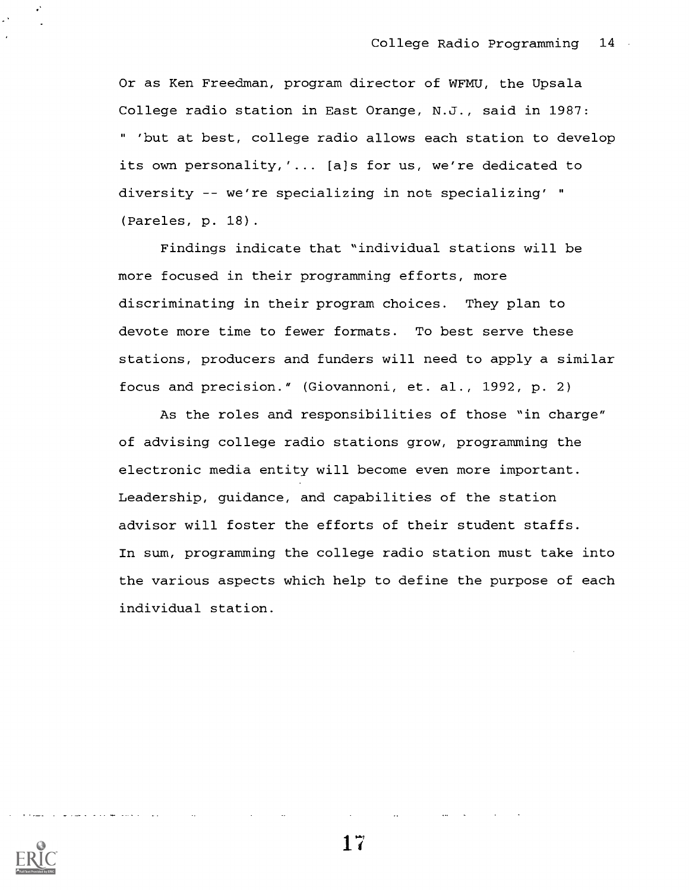Or as Ken Freedman, program director of WFMU, the Upsala College radio station in East Orange, N.J., said in 1987: " 'but at best, college radio allows each station to develop its own personality,'... [a]s for us, we're dedicated to diversity  $-$ - we're specializing in not specializing' " (Pareles, p. 18).

Findings indicate that "individual stations will be more focused in their programming efforts, more discriminating in their program choices. They plan to devote more time to fewer formats. To best serve these stations, producers and funders will need to apply a similar focus and precision." (Giovannoni, et. al., 1992, p. 2)

As the roles and responsibilities of those "in charge" of advising college radio stations grow, programming the electronic media entity will become even more important. Leadership, guidance, and capabilities of the station advisor will foster the efforts of their student staffs. In sum, programming the college radio station must take into the various aspects which help to define the purpose of each individual station.

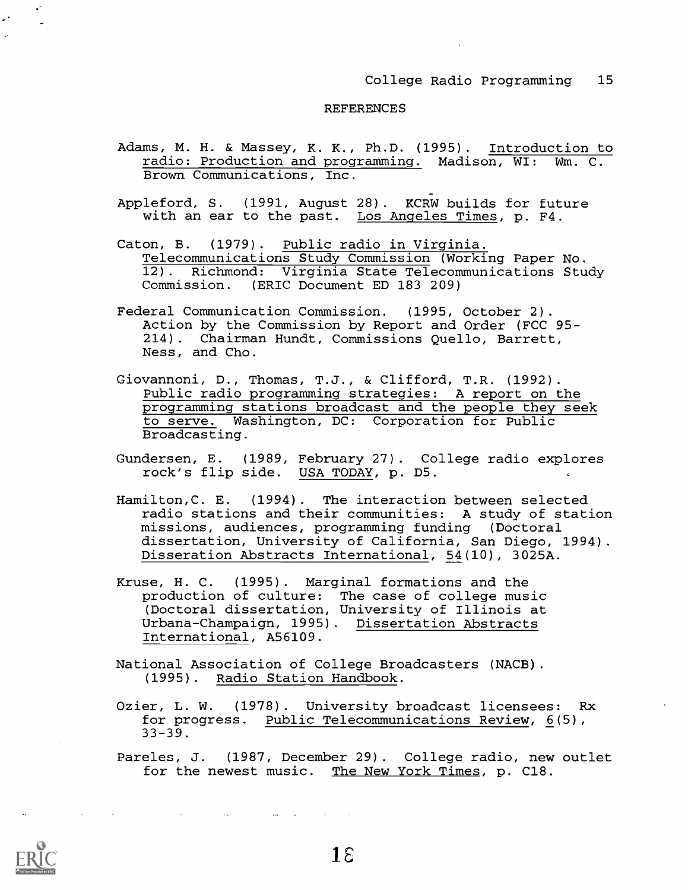#### REFERENCES

- Adams, M. H. & Massey, K. K., Ph.D. (1995). Introduction to radio: Production and programming. Madison, WI: Wm. C. Brown Communications, Inc.
- Appleford, S. (1991, August 28). KCRW builds for future with an ear to the past. Los Angeles Times, p. F4.
- Caton, B. (1979). Public radio in Virginia. Telecommunications Study Commission (Working Paper No. 12). Richmond: Virginia State Telecommunications Study Commission. (ERIC Document ED 183 209)
- Federal Communication Commission. (1995, October 2). Action by the Commission by Report and Order (FCC 95- 214). Chairman Hundt, Commissions Quello, Barrett, Ness, and Cho.
- Giovannoni, D., Thomas, T.J., & Clifford, T.R. (1992). Public radio programming strategies: A report on the programming stations broadcast and the people they seek to serve. Washington, DC: Corporation for Public Broadcasting.
- Gundersen, E. (1989, February 27). College radio explores rock's flip side. USA TODAY, p. D5.
- Hamilton,C. E. (1994). The interaction between selected radio stations and their communities: A study of station missions, audiences, programming funding (Doctoral dissertation, University of California, San Diego, 1994). Disseration Abstracts International, 54(10), 3025A.
- Kruse, H. C. (1995). Marginal formations and the production of culture: The case of college music (Doctoral dissertation, University of Illinois at Urbana-Champaign, 1995). Dissertation Abstracts International, A56109.
- National Association of College Broadcasters (NACB). (1995). Radio Station Handbook.
- Ozier, L. W. (1978). University broadcast licensees: Rx for progress. Public Telecommunications Review, 6(5), 33-39.
- Pareles, J. (1987, December 29). College radio, new outlet for the newest music. The New York Times, p. C18.



 $\sim$ 

and the contract of the contract of the contract of the contract of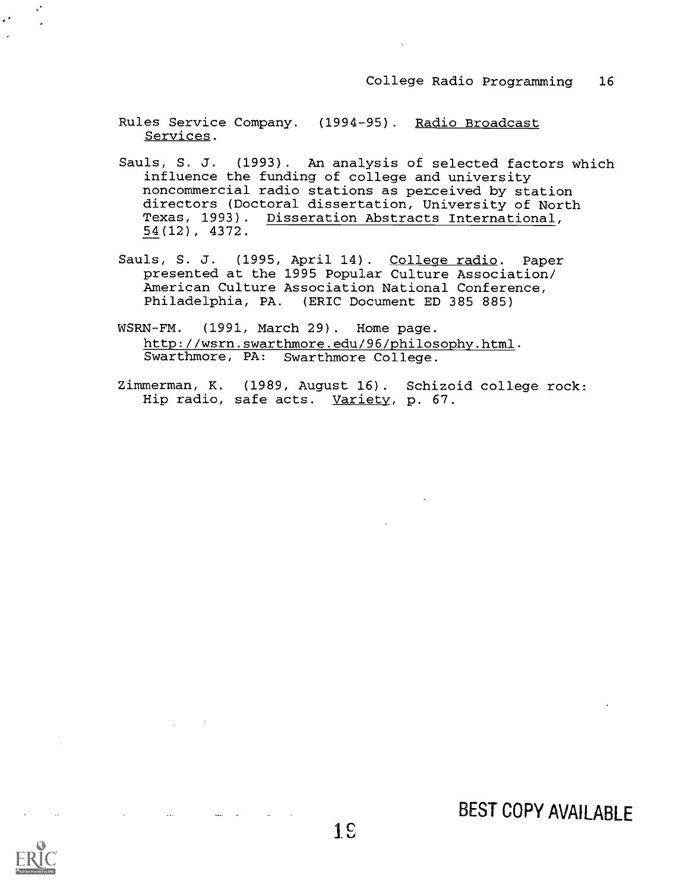Rules Service Company. (1994-95). Radio Broadcast Services.

- Sauls, S. J. (1993). An analysis of selected factors which influence the funding of college and university noncommercial radio stations as perceived by station directors (Doctoral dissertation, University of North Texas, 1993). Disseration Abstracts International, 54(12), 4372.
- Sauls, S. J. (1995, April 14). College radio. Paper presented at the 1995 Popular Culture Association/ American Culture Association National Conference, Philadelphia, PA. (ERIC Document ED 385 885)
- WSRN-FM. (1991, March 29). Home page. http://wsrn.swarthmore.edu/96/philosophy.html. Swarthmore, PA: Swarthmore College.
- Zimmerman, K. (1989, August 16). Schizoid college rock: Hip radio, safe acts. Variety, p. 67.





 $\ddotsc$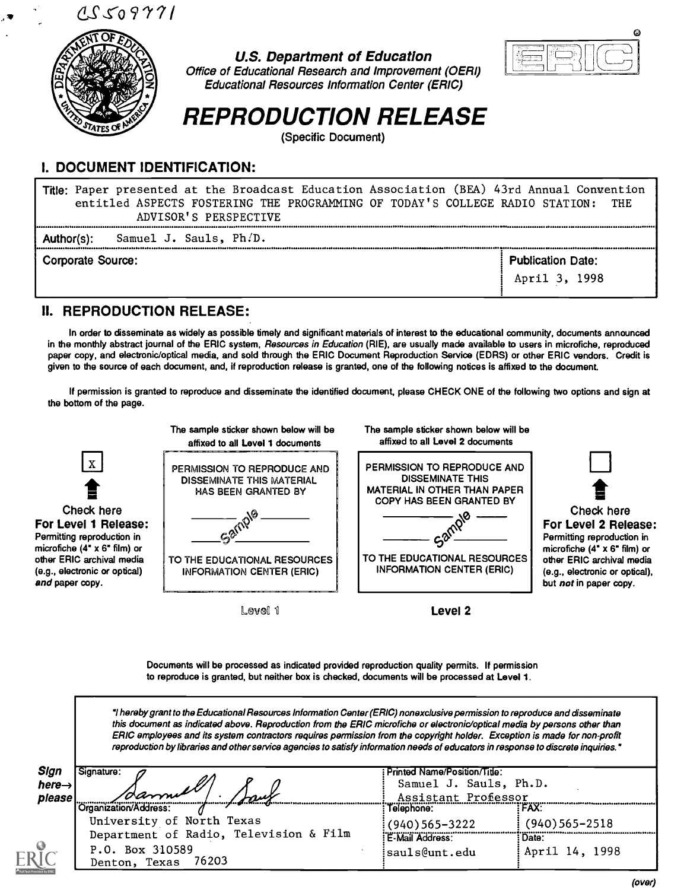$15509771$ 



# U.S. Department of Education



Office of Educational Research and Improvement (OERI) Educational Resources Information Center (ERIC)

# REPRODUCTION RELEASE

(Specific Document)

# I. DOCUMENT IDENTIFICATION:

Title: Paper presented at the Broadcast Education Association (BEA) 43rd Annual Convention<br>entitled ASPECTS FOSTERING THE PROGRAMMING OF TODAY'S COLLEGE RADIO STATION: THE entitled ASPECTS FOSTERING THE PROGRAMMING OF TODAY'S COLLEGE RADIO STATION: ADVISOR' S PERSPECTIVE Author(s): Samuel J. Sauls, Ph.D.

Corporate Source: Publication Date: Publication Date: Publication Date: Publication Date:

## II. REPRODUCTION RELEASE:

In order to disseminate as widely as possible timely and significant materials of interest to the educational community, documents announced in the monthly abstract journal of the ERIC system, Resources in Education (RIE), are usually made available to users in microfiche, reproduced paper copy, and electronic/optical media, and sold through the ERIC Document Reproduction Service (EDRS) or other ERIC vendors. Credit is given to the source of each document, and, if reproduction release is granted, one of the following notices is affixed to the document.

If permission is granted to reproduce and disseminate the identified document, please CHECK ONE of the following two options and sign at the bottom of the page.



Documents will be processed as indicated provided reproduction quality permits. If permission to reproduce is granted, but neither box is checked, documents will be processed at Level 1.

hereby grant to the Educational Resources Information Center (ERIC) nonexclusive permission to reproduce and disseminate this document as indicated above. Reproduction from the ERIC microfiche or electronic/optical media by persons other than ERIC employees and its system contractors requires permission from the copyright holder. Exception is made for non-profit reproduction by libraries and other service agencies to satisfy information needs of educators in response to discrete inquiries."

| Sign<br>here $\rightarrow$<br>please | Signature:<br>1damet<br>يسمد                       | Printed Name/Position/Title:<br>Samuel J. Sauls, Ph.D.<br>Assistant Professor |                             |
|--------------------------------------|----------------------------------------------------|-------------------------------------------------------------------------------|-----------------------------|
|                                      | Organization/Address:<br>University of North Texas | Telephone:                                                                    | ``FAX`                      |
|                                      | Department of Radio, Television & Film             | $(940)$ 565-3222<br>E-Mail Address:                                           | $(940)$ 565-2518<br>: Date: |
|                                      | P.O. Box 310589<br>Denton, Texas 76203             | sauls@unt.edu:                                                                | April 14, 1998              |